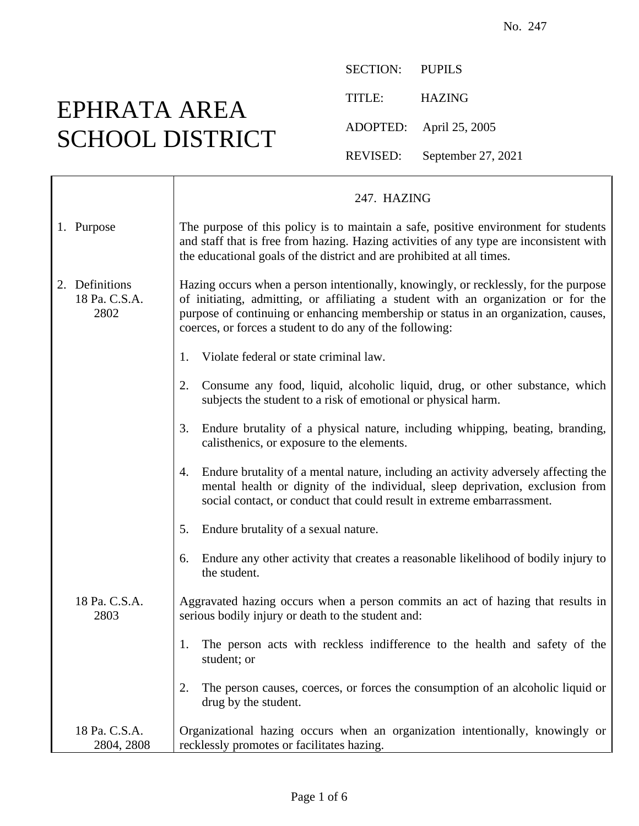## EPHRATA AREA SCHOOL DISTRICT

SECTION: PUPILS TITLE: HAZING ADOPTED: April 25, 2005 REVISED: September 27, 2021

|                                         | 247. HAZING                                                                                                                                                                                                                                                                                                                   |
|-----------------------------------------|-------------------------------------------------------------------------------------------------------------------------------------------------------------------------------------------------------------------------------------------------------------------------------------------------------------------------------|
| 1. Purpose                              | The purpose of this policy is to maintain a safe, positive environment for students<br>and staff that is free from hazing. Hazing activities of any type are inconsistent with<br>the educational goals of the district and are prohibited at all times.                                                                      |
| 2. Definitions<br>18 Pa. C.S.A.<br>2802 | Hazing occurs when a person intentionally, knowingly, or recklessly, for the purpose<br>of initiating, admitting, or affiliating a student with an organization or for the<br>purpose of continuing or enhancing membership or status in an organization, causes,<br>coerces, or forces a student to do any of the following: |
|                                         | Violate federal or state criminal law.<br>1.                                                                                                                                                                                                                                                                                  |
|                                         | Consume any food, liquid, alcoholic liquid, drug, or other substance, which<br>2.<br>subjects the student to a risk of emotional or physical harm.                                                                                                                                                                            |
|                                         | Endure brutality of a physical nature, including whipping, beating, branding,<br>3.<br>calisthenics, or exposure to the elements.                                                                                                                                                                                             |
|                                         | Endure brutality of a mental nature, including an activity adversely affecting the<br>4.<br>mental health or dignity of the individual, sleep deprivation, exclusion from<br>social contact, or conduct that could result in extreme embarrassment.                                                                           |
|                                         | Endure brutality of a sexual nature.<br>5.                                                                                                                                                                                                                                                                                    |
|                                         | Endure any other activity that creates a reasonable likelihood of bodily injury to<br>6.<br>the student.                                                                                                                                                                                                                      |
| 18 Pa. C.S.A.<br>2803                   | Aggravated hazing occurs when a person commits an act of hazing that results in<br>serious bodily injury or death to the student and:                                                                                                                                                                                         |
|                                         | The person acts with reckless indifference to the health and safety of the<br>student; or                                                                                                                                                                                                                                     |
|                                         | The person causes, coerces, or forces the consumption of an alcoholic liquid or<br>2.<br>drug by the student.                                                                                                                                                                                                                 |
| 18 Pa. C.S.A.<br>2804, 2808             | Organizational hazing occurs when an organization intentionally, knowingly or<br>recklessly promotes or facilitates hazing.                                                                                                                                                                                                   |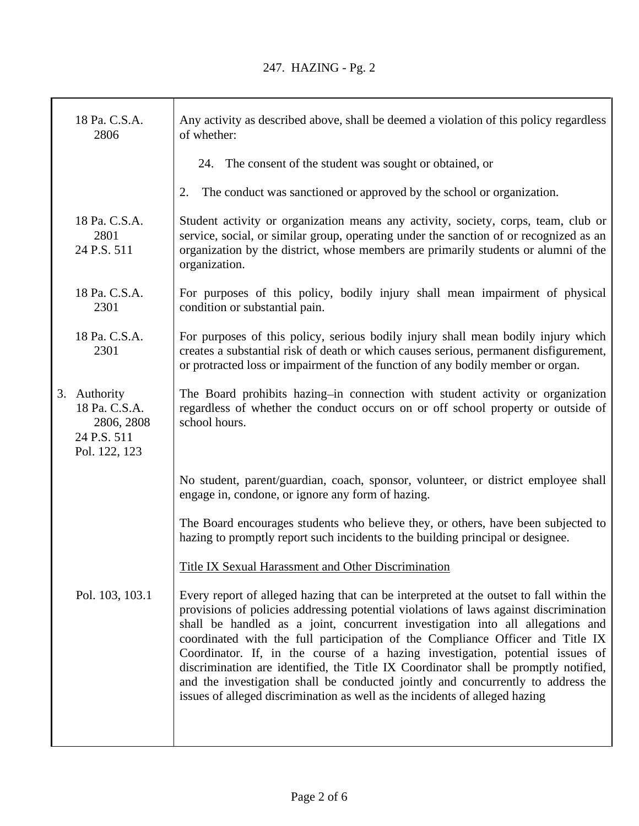T

٦

| 18 Pa. C.S.A.<br>2806                                                       | Any activity as described above, shall be deemed a violation of this policy regardless<br>of whether:                                                                                                                                                                                                                                                                                                                                                                                                                                                                                                                                                                                           |
|-----------------------------------------------------------------------------|-------------------------------------------------------------------------------------------------------------------------------------------------------------------------------------------------------------------------------------------------------------------------------------------------------------------------------------------------------------------------------------------------------------------------------------------------------------------------------------------------------------------------------------------------------------------------------------------------------------------------------------------------------------------------------------------------|
|                                                                             | 24. The consent of the student was sought or obtained, or                                                                                                                                                                                                                                                                                                                                                                                                                                                                                                                                                                                                                                       |
|                                                                             | The conduct was sanctioned or approved by the school or organization.<br>2.                                                                                                                                                                                                                                                                                                                                                                                                                                                                                                                                                                                                                     |
| 18 Pa. C.S.A.<br>2801<br>24 P.S. 511                                        | Student activity or organization means any activity, society, corps, team, club or<br>service, social, or similar group, operating under the sanction of or recognized as an<br>organization by the district, whose members are primarily students or alumni of the<br>organization.                                                                                                                                                                                                                                                                                                                                                                                                            |
| 18 Pa. C.S.A.<br>2301                                                       | For purposes of this policy, bodily injury shall mean impairment of physical<br>condition or substantial pain.                                                                                                                                                                                                                                                                                                                                                                                                                                                                                                                                                                                  |
| 18 Pa. C.S.A.<br>2301                                                       | For purposes of this policy, serious bodily injury shall mean bodily injury which<br>creates a substantial risk of death or which causes serious, permanent disfigurement,<br>or protracted loss or impairment of the function of any bodily member or organ.                                                                                                                                                                                                                                                                                                                                                                                                                                   |
| 3. Authority<br>18 Pa. C.S.A.<br>2806, 2808<br>24 P.S. 511<br>Pol. 122, 123 | The Board prohibits hazing-in connection with student activity or organization<br>regardless of whether the conduct occurs on or off school property or outside of<br>school hours.                                                                                                                                                                                                                                                                                                                                                                                                                                                                                                             |
|                                                                             | No student, parent/guardian, coach, sponsor, volunteer, or district employee shall<br>engage in, condone, or ignore any form of hazing.                                                                                                                                                                                                                                                                                                                                                                                                                                                                                                                                                         |
|                                                                             | The Board encourages students who believe they, or others, have been subjected to<br>hazing to promptly report such incidents to the building principal or designee.                                                                                                                                                                                                                                                                                                                                                                                                                                                                                                                            |
|                                                                             | Title IX Sexual Harassment and Other Discrimination                                                                                                                                                                                                                                                                                                                                                                                                                                                                                                                                                                                                                                             |
| Pol. 103, 103.1                                                             | Every report of alleged hazing that can be interpreted at the outset to fall within the<br>provisions of policies addressing potential violations of laws against discrimination<br>shall be handled as a joint, concurrent investigation into all allegations and<br>coordinated with the full participation of the Compliance Officer and Title IX<br>Coordinator. If, in the course of a hazing investigation, potential issues of<br>discrimination are identified, the Title IX Coordinator shall be promptly notified,<br>and the investigation shall be conducted jointly and concurrently to address the<br>issues of alleged discrimination as well as the incidents of alleged hazing |
|                                                                             |                                                                                                                                                                                                                                                                                                                                                                                                                                                                                                                                                                                                                                                                                                 |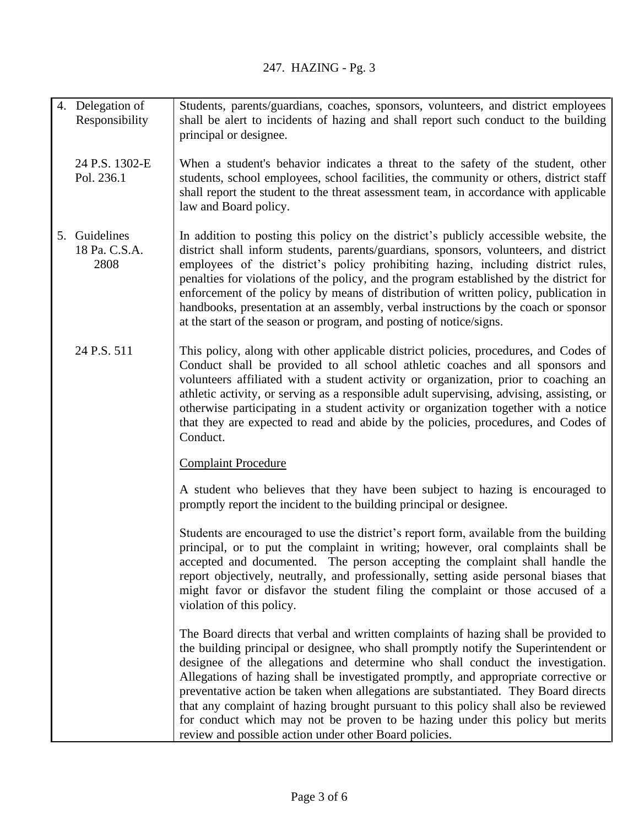| 4. Delegation of<br>Responsibility     | Students, parents/guardians, coaches, sponsors, volunteers, and district employees<br>shall be alert to incidents of hazing and shall report such conduct to the building<br>principal or designee.                                                                                                                                                                                                                                                                                                                                                                                                                                                                          |
|----------------------------------------|------------------------------------------------------------------------------------------------------------------------------------------------------------------------------------------------------------------------------------------------------------------------------------------------------------------------------------------------------------------------------------------------------------------------------------------------------------------------------------------------------------------------------------------------------------------------------------------------------------------------------------------------------------------------------|
| 24 P.S. 1302-E<br>Pol. 236.1           | When a student's behavior indicates a threat to the safety of the student, other<br>students, school employees, school facilities, the community or others, district staff<br>shall report the student to the threat assessment team, in accordance with applicable<br>law and Board policy.                                                                                                                                                                                                                                                                                                                                                                                 |
| 5. Guidelines<br>18 Pa. C.S.A.<br>2808 | In addition to posting this policy on the district's publicly accessible website, the<br>district shall inform students, parents/guardians, sponsors, volunteers, and district<br>employees of the district's policy prohibiting hazing, including district rules,<br>penalties for violations of the policy, and the program established by the district for<br>enforcement of the policy by means of distribution of written policy, publication in<br>handbooks, presentation at an assembly, verbal instructions by the coach or sponsor<br>at the start of the season or program, and posting of notice/signs.                                                          |
| 24 P.S. 511                            | This policy, along with other applicable district policies, procedures, and Codes of<br>Conduct shall be provided to all school athletic coaches and all sponsors and<br>volunteers affiliated with a student activity or organization, prior to coaching an<br>athletic activity, or serving as a responsible adult supervising, advising, assisting, or<br>otherwise participating in a student activity or organization together with a notice<br>that they are expected to read and abide by the policies, procedures, and Codes of<br>Conduct.                                                                                                                          |
|                                        | <b>Complaint Procedure</b>                                                                                                                                                                                                                                                                                                                                                                                                                                                                                                                                                                                                                                                   |
|                                        | A student who believes that they have been subject to hazing is encouraged to<br>promptly report the incident to the building principal or designee.                                                                                                                                                                                                                                                                                                                                                                                                                                                                                                                         |
|                                        | Students are encouraged to use the district's report form, available from the building<br>principal, or to put the complaint in writing; however, oral complaints shall be<br>accepted and documented. The person accepting the complaint shall handle the<br>report objectively, neutrally, and professionally, setting aside personal biases that<br>might favor or disfavor the student filing the complaint or those accused of a<br>violation of this policy.                                                                                                                                                                                                           |
|                                        | The Board directs that verbal and written complaints of hazing shall be provided to<br>the building principal or designee, who shall promptly notify the Superintendent or<br>designee of the allegations and determine who shall conduct the investigation.<br>Allegations of hazing shall be investigated promptly, and appropriate corrective or<br>preventative action be taken when allegations are substantiated. They Board directs<br>that any complaint of hazing brought pursuant to this policy shall also be reviewed<br>for conduct which may not be proven to be hazing under this policy but merits<br>review and possible action under other Board policies. |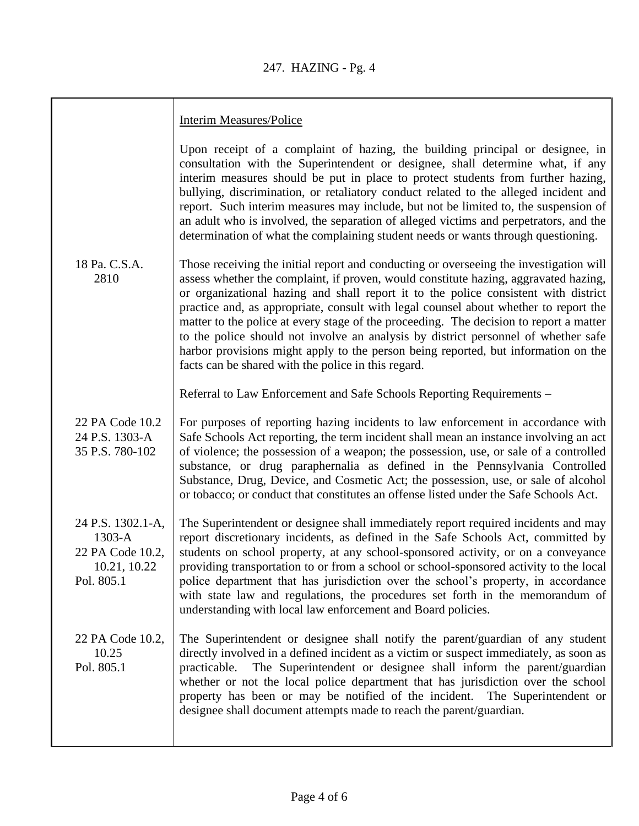|                                                                               | <b>Interim Measures/Police</b>                                                                                                                                                                                                                                                                                                                                                                                                                                                                                                                                                                                                                                                             |
|-------------------------------------------------------------------------------|--------------------------------------------------------------------------------------------------------------------------------------------------------------------------------------------------------------------------------------------------------------------------------------------------------------------------------------------------------------------------------------------------------------------------------------------------------------------------------------------------------------------------------------------------------------------------------------------------------------------------------------------------------------------------------------------|
|                                                                               | Upon receipt of a complaint of hazing, the building principal or designee, in<br>consultation with the Superintendent or designee, shall determine what, if any<br>interim measures should be put in place to protect students from further hazing,<br>bullying, discrimination, or retaliatory conduct related to the alleged incident and<br>report. Such interim measures may include, but not be limited to, the suspension of<br>an adult who is involved, the separation of alleged victims and perpetrators, and the<br>determination of what the complaining student needs or wants through questioning.                                                                           |
| 18 Pa. C.S.A.<br>2810                                                         | Those receiving the initial report and conducting or overseeing the investigation will<br>assess whether the complaint, if proven, would constitute hazing, aggravated hazing,<br>or organizational hazing and shall report it to the police consistent with district<br>practice and, as appropriate, consult with legal counsel about whether to report the<br>matter to the police at every stage of the proceeding. The decision to report a matter<br>to the police should not involve an analysis by district personnel of whether safe<br>harbor provisions might apply to the person being reported, but information on the<br>facts can be shared with the police in this regard. |
|                                                                               | Referral to Law Enforcement and Safe Schools Reporting Requirements -                                                                                                                                                                                                                                                                                                                                                                                                                                                                                                                                                                                                                      |
| 22 PA Code 10.2<br>24 P.S. 1303-A<br>35 P.S. 780-102                          | For purposes of reporting hazing incidents to law enforcement in accordance with<br>Safe Schools Act reporting, the term incident shall mean an instance involving an act<br>of violence; the possession of a weapon; the possession, use, or sale of a controlled<br>substance, or drug paraphernalia as defined in the Pennsylvania Controlled<br>Substance, Drug, Device, and Cosmetic Act; the possession, use, or sale of alcohol<br>or tobacco; or conduct that constitutes an offense listed under the Safe Schools Act.                                                                                                                                                            |
| 24 P.S. 1302.1-A,<br>1303-A<br>22 PA Code 10.2,<br>10.21, 10.22<br>Pol. 805.1 | The Superintendent or designee shall immediately report required incidents and may<br>report discretionary incidents, as defined in the Safe Schools Act, committed by<br>students on school property, at any school-sponsored activity, or on a conveyance<br>providing transportation to or from a school or school-sponsored activity to the local<br>police department that has jurisdiction over the school's property, in accordance<br>with state law and regulations, the procedures set forth in the memorandum of<br>understanding with local law enforcement and Board policies.                                                                                                |
| 22 PA Code 10.2,<br>10.25<br>Pol. 805.1                                       | The Superintendent or designee shall notify the parent/guardian of any student<br>directly involved in a defined incident as a victim or suspect immediately, as soon as<br>The Superintendent or designee shall inform the parent/guardian<br>practicable.<br>whether or not the local police department that has jurisdiction over the school<br>property has been or may be notified of the incident. The Superintendent or<br>designee shall document attempts made to reach the parent/guardian.                                                                                                                                                                                      |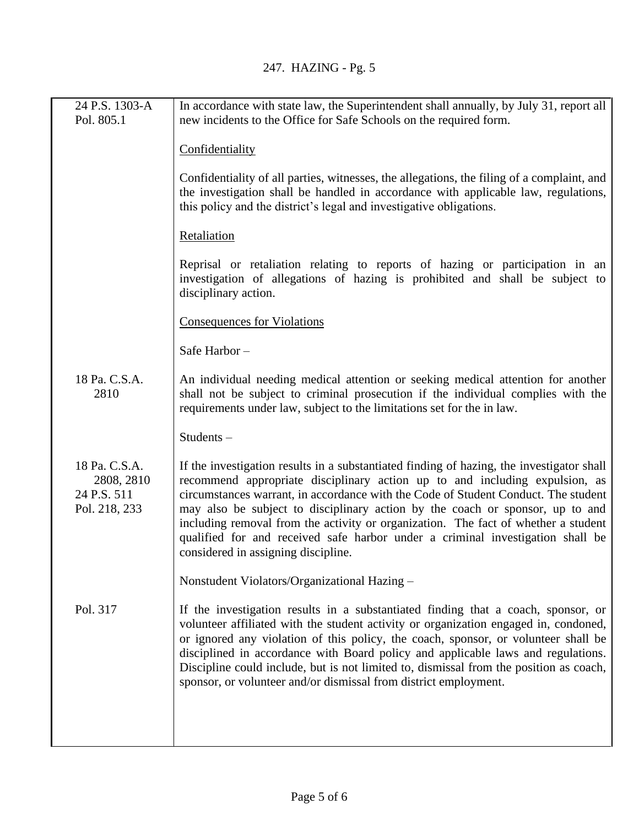| 24 P.S. 1303-A<br>Pol. 805.1                                | In accordance with state law, the Superintendent shall annually, by July 31, report all<br>new incidents to the Office for Safe Schools on the required form.                                                                                                                                                                                                                                                                                                                                                                                                  |
|-------------------------------------------------------------|----------------------------------------------------------------------------------------------------------------------------------------------------------------------------------------------------------------------------------------------------------------------------------------------------------------------------------------------------------------------------------------------------------------------------------------------------------------------------------------------------------------------------------------------------------------|
|                                                             | Confidentiality                                                                                                                                                                                                                                                                                                                                                                                                                                                                                                                                                |
|                                                             | Confidentiality of all parties, witnesses, the allegations, the filing of a complaint, and<br>the investigation shall be handled in accordance with applicable law, regulations,<br>this policy and the district's legal and investigative obligations.                                                                                                                                                                                                                                                                                                        |
|                                                             | Retaliation                                                                                                                                                                                                                                                                                                                                                                                                                                                                                                                                                    |
|                                                             | Reprisal or retaliation relating to reports of hazing or participation in an<br>investigation of allegations of hazing is prohibited and shall be subject to<br>disciplinary action.                                                                                                                                                                                                                                                                                                                                                                           |
|                                                             | <b>Consequences for Violations</b>                                                                                                                                                                                                                                                                                                                                                                                                                                                                                                                             |
|                                                             | Safe Harbor-                                                                                                                                                                                                                                                                                                                                                                                                                                                                                                                                                   |
| 18 Pa. C.S.A.<br>2810                                       | An individual needing medical attention or seeking medical attention for another<br>shall not be subject to criminal prosecution if the individual complies with the<br>requirements under law, subject to the limitations set for the in law.                                                                                                                                                                                                                                                                                                                 |
|                                                             | Students-                                                                                                                                                                                                                                                                                                                                                                                                                                                                                                                                                      |
| 18 Pa. C.S.A.<br>2808, 2810<br>24 P.S. 511<br>Pol. 218, 233 | If the investigation results in a substantiated finding of hazing, the investigator shall<br>recommend appropriate disciplinary action up to and including expulsion, as<br>circumstances warrant, in accordance with the Code of Student Conduct. The student<br>may also be subject to disciplinary action by the coach or sponsor, up to and<br>including removal from the activity or organization. The fact of whether a student<br>qualified for and received safe harbor under a criminal investigation shall be<br>considered in assigning discipline. |
|                                                             | Nonstudent Violators/Organizational Hazing -                                                                                                                                                                                                                                                                                                                                                                                                                                                                                                                   |
| Pol. 317                                                    | If the investigation results in a substantiated finding that a coach, sponsor, or<br>volunteer affiliated with the student activity or organization engaged in, condoned,<br>or ignored any violation of this policy, the coach, sponsor, or volunteer shall be<br>disciplined in accordance with Board policy and applicable laws and regulations.<br>Discipline could include, but is not limited to, dismissal from the position as coach,<br>sponsor, or volunteer and/or dismissal from district employment.                                              |
|                                                             |                                                                                                                                                                                                                                                                                                                                                                                                                                                                                                                                                                |